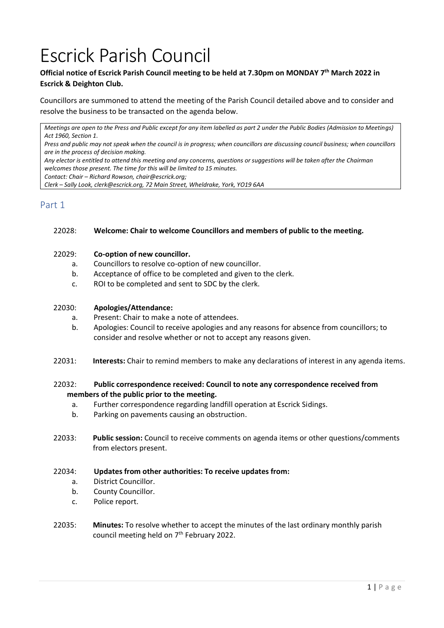# Escrick Parish Council

## **Official notice of Escrick Parish Council meeting to be held at 7.30pm on MONDAY 7 th March 2022 in Escrick & Deighton Club.**

Councillors are summoned to attend the meeting of the Parish Council detailed above and to consider and resolve the business to be transacted on the agenda below.

*Meetings are open to the Press and Public except for any item labelled as part 2 under the Public Bodies (Admission to Meetings) Act 1960, Section 1.*

*Press and public may not speak when the council is in progress; when councillors are discussing council business; when councillors are in the process of decision making.*

*Any elector is entitled to attend this meeting and any concerns, questions or suggestions will be taken after the Chairman welcomes those present. The time for this will be limited to 15 minutes.*

*Contact: Chair – Richard Rowson, chair@escrick.org;* 

*Clerk – Sally Look, clerk@escrick.org, 72 Main Street, Wheldrake, York, YO19 6AA*

## Part 1

#### 22028: **Welcome: Chair to welcome Councillors and members of public to the meeting.**

## 22029: **Co-option of new councillor.**

- a. Councillors to resolve co-option of new councillor.
- b. Acceptance of office to be completed and given to the clerk.
- c. ROI to be completed and sent to SDC by the clerk.

#### 22030: **Apologies/Attendance:**

- a. Present: Chair to make a note of attendees.
- b. Apologies: Council to receive apologies and any reasons for absence from councillors; to consider and resolve whether or not to accept any reasons given.
- 22031: **Interests:** Chair to remind members to make any declarations of interest in any agenda items.

## 22032: **Public correspondence received: Council to note any correspondence received from members of the public prior to the meeting.**

- a. Further correspondence regarding landfill operation at Escrick Sidings.
- b. Parking on pavements causing an obstruction.
- 22033: **Public session:** Council to receive comments on agenda items or other questions/comments from electors present.

#### 22034: **Updates from other authorities: To receive updates from:**

- a. District Councillor.
- b. County Councillor.
- c. Police report.
- 22035: **Minutes:** To resolve whether to accept the minutes of the last ordinary monthly parish council meeting held on 7<sup>th</sup> February 2022.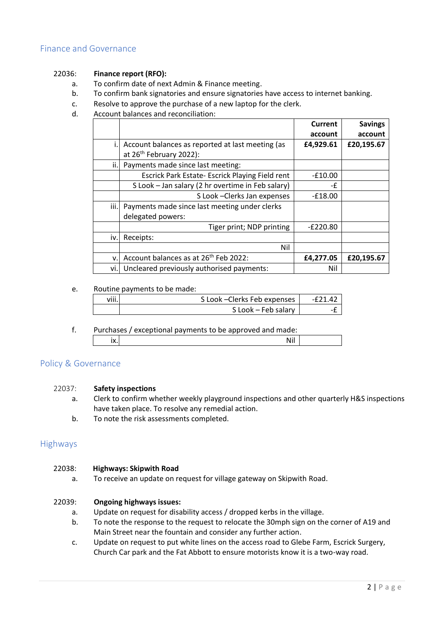## Finance and Governance

## 22036: **Finance report (RFO):**

- a. To confirm date of next Admin & Finance meeting.
- b. To confirm bank signatories and ensure signatories have access to internet banking.
- c. Resolve to approve the purchase of a new laptop for the clerk.
- d. Account balances and reconciliation:

|      |                                                   | Current    | <b>Savings</b> |
|------|---------------------------------------------------|------------|----------------|
|      |                                                   | account    | account        |
|      | Account balances as reported at last meeting (as  | £4,929.61  | £20,195.67     |
|      | at 26 <sup>th</sup> February 2022):               |            |                |
| ii.l | Payments made since last meeting:                 |            |                |
|      | Escrick Park Estate- Escrick Playing Field rent   | $-£10.00$  |                |
|      | S Look - Jan salary (2 hr overtime in Feb salary) | -£         |                |
|      | S Look - Clerks Jan expenses                      | $-£18.00$  |                |
| iii. | Payments made since last meeting under clerks     |            |                |
|      | delegated powers:                                 |            |                |
|      | Tiger print; NDP printing                         | $-E220.80$ |                |
| iv.  | Receipts:                                         |            |                |
|      | Nil                                               |            |                |
| v.   | Account balances as at 26 <sup>th</sup> Feb 2022: | £4,277.05  | £20,195.67     |
| vi.l | Uncleared previously authorised payments:         | Nil        |                |

#### e. Routine payments to be made:

| $\cdots$<br>VIII.I | S Look - Clerks Feb expenses | -F71 47 |
|--------------------|------------------------------|---------|
|                    | S Look - Feb salary          |         |

f. Purchases / exceptional payments to be approved and made: ix. Nil

## Policy & Governance

## 22037: **Safety inspections**

- a. Clerk to confirm whether weekly playground inspections and other quarterly H&S inspections have taken place. To resolve any remedial action.
- b. To note the risk assessments completed.

#### Highways

#### 22038: **Highways: Skipwith Road**

a. To receive an update on request for village gateway on Skipwith Road.

#### 22039: **Ongoing highways issues:**

- a. Update on request for disability access / dropped kerbs in the village.
- b. To note the response to the request to relocate the 30mph sign on the corner of A19 and Main Street near the fountain and consider any further action.
- c. Update on request to put white lines on the access road to Glebe Farm, Escrick Surgery, Church Car park and the Fat Abbott to ensure motorists know it is a two-way road.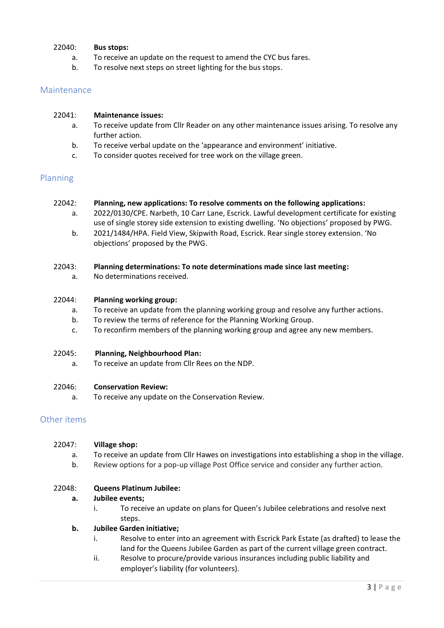## 22040: **Bus stops:**

- a. To receive an update on the request to amend the CYC bus fares.
- b. To resolve next steps on street lighting for the bus stops.

## Maintenance

#### 22041: **Maintenance issues:**

- a. To receive update from Cllr Reader on any other maintenance issues arising. To resolve any further action.
- b. To receive verbal update on the 'appearance and environment' initiative.
- c. To consider quotes received for tree work on the village green.

## Planning

#### 22042: **Planning, new applications: To resolve comments on the following applications:**

- a. 2022/0130/CPE. Narbeth, 10 Carr Lane, Escrick. Lawful development certificate for existing use of single storey side extension to existing dwelling. 'No objections' proposed by PWG.
- b. 2021/1484/HPA. Field View, Skipwith Road, Escrick. Rear single storey extension. 'No objections' proposed by the PWG.

#### 22043: **Planning determinations: To note determinations made since last meeting:**

a. No determinations received.

#### 22044: **Planning working group:**

- a. To receive an update from the planning working group and resolve any further actions.
- b. To review the terms of reference for the Planning Working Group.
- c. To reconfirm members of the planning working group and agree any new members.

#### 22045: **Planning, Neighbourhood Plan:**

a. To receive an update from Cllr Rees on the NDP.

#### 22046: **Conservation Review:**

a. To receive any update on the Conservation Review.

## Other items

- a. To receive an update from Cllr Hawes on investigations into establishing a shop in the village.
- b. Review options for a pop-up village Post Office service and consider any further action.

## 22048: **Queens Platinum Jubilee:**

#### **a. Jubilee events;**

i. To receive an update on plans for Queen's Jubilee celebrations and resolve next steps.

#### **b. Jubilee Garden initiative;**

- i. Resolve to enter into an agreement with Escrick Park Estate (as drafted) to lease the land for the Queens Jubilee Garden as part of the current village green contract.
- ii. Resolve to procure/provide various insurances including public liability and employer's liability (for volunteers).